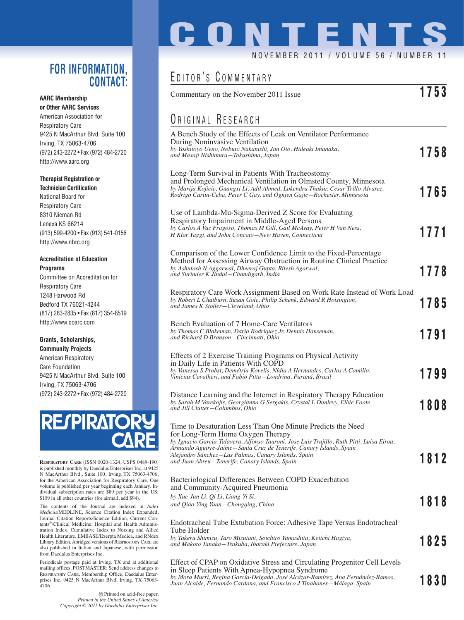### **FOR INFORMATION, CONTACT:**

#### **AARC Membership or Other AARC Services**

American Association for Respiratory Care 9425 N MacArthur Blvd, Suite 100 Irving, TX 75063-4706 (972) 243-2272 • Fax (972) 484-2720 http://www.aarc.org

### **Therapist Registration or**

**Technician Certification** National Board for Respiratory Care 8310 Nieman Rd Lenexa KS 66214 (913) 599-4200 • Fax (913) 541-0156 http://www.nbrc.org

#### **Accreditation of Education Programs**

Committee on Accreditation for Respiratory Care 1248 Harwood Rd Bedford TX 76021-4244 (817) 283-2835 • Fax (817) 354-8519 http://www.coarc.com

#### **Grants, Scholarships, Community Projects**

American Respiratory Care Foundation 9425 N MacArthur Blvd, Suite 100 Irving, TX 75063-4706 (972) 243-2272 • Fax (972) 484-2720



**RESPIRATORY CARE** (ISSN 0020-1324, USPS 0489-190) is published monthly by Daedalus Enterprises Inc, at 9425 N MacArthur Blvd., Suite 100, Irving, TX 75063-4706, for the American Association for Respiratory Care. One volume is published per year beginning each January. In-dividual subscription rates are \$89 per year in the US; \$109 in all other countries (for airmail, add \$94).

The contents of the Journal are indexed in *Index Medicus*/MEDLINE, Science Citation Index Expanded, Journal Citation Reports/Science Edition, Current Contents®/Clinical Medicine, Hospital and Health Administration Index, Cumulative Index to Nursing and Allied Health Literature, EMBASE/Exerpta Medica, and RNdex Library Edition. Abridged versions of RESPIRATORY CARE are also published in Italian and Japanese, with permission from Daedalus Enterprises Inc.

Periodicals postage paid at Irving, TX and at additional mailing offices. POSTMASTER: Send address changes to RESPIRATORY CARE, Membership Office, Daedalus Enterprises Inc, 9425 N MacArthur Blvd, Irving, TX 75063- 4706

> Printed on acid-free paper. *Printed in the United States of America Copyright © 2011 by Daedalus Enterprises Inc.*

# **CONTENTS**

### NOVEMBER 2011 / VOLUME 56 / NUMBER

### EDITOR'S COMMENTARY

| 1753<br>Commentary on the November 2011 Issue                                                                                                                    |      |
|------------------------------------------------------------------------------------------------------------------------------------------------------------------|------|
| <b>URIGINAL RESEARCH</b>                                                                                                                                         |      |
| A Bench Study of the Effects of Leak on Ventilator Performance                                                                                                   |      |
| During Noninvasive Ventilation<br>by Yoshitoyo Ueno, Nobuto Nakanishi, Jun Oto, Hideaki Imanaka,                                                                 |      |
| and Masaji Nishimura—Tokushima, Japan                                                                                                                            | 1758 |
| Long-Term Survival in Patients With Tracheostomy                                                                                                                 |      |
| and Prolonged Mechanical Ventilation in Olmsted County, Minnesota                                                                                                |      |
| by Marija Kojicic, Guangxi Li, Adil Ahmed, Lokendra Thakur, Cesar Trillo-Alvarez,<br>Rodrigo Cartin-Ceba, Peter C Gay, and Ognjen Gajic-Rochester, Minnesota     | 1765 |
| Use of Lambda-Mu-Sigma-Derived Z Score for Evaluating                                                                                                            |      |
| Respiratory Impairment in Middle-Aged Persons                                                                                                                    |      |
| by Carlos A Vaz Fragoso, Thomas M Gill, Gail McAvay, Peter H Van Ness,<br>H Klar Yaggi, and John Concato-New Haven, Connecticut                                  | 1771 |
|                                                                                                                                                                  |      |
| Comparison of the Lower Confidence Limit to the Fixed-Percentage                                                                                                 |      |
| Method for Assessing Airway Obstruction in Routine Clinical Practice<br>by Ashutosh N Aggarwal, Dheeraj Gupta, Ritesh Agarwal,                                   |      |
| and Surinder K Jindal-Chandigarh, India                                                                                                                          | 1778 |
| Respiratory Care Work Assignment Based on Work Rate Instead of Work Load                                                                                         |      |
| by Robert L Chatburn, Susan Gole, Philip Schenk, Edward R Hoisington,<br>and James K Stoller-Cleveland, Ohio                                                     | 1785 |
|                                                                                                                                                                  |      |
| Bench Evaluation of 7 Home-Care Ventilators                                                                                                                      |      |
| by Thomas C Blakeman, Dario Rodriquez Jr, Dennis Hanseman,<br>and Richard D Branson—Cincinnati, Ohio                                                             | 1791 |
| Effects of 2 Exercise Training Programs on Physical Activity                                                                                                     |      |
| in Daily Life in Patients With COPD                                                                                                                              |      |
| by Vanessa S Probst, Demétria Kovelis, Nídia A Hernandes, Carlos A Camillo,<br>Vinícius Cavalheri, and Fabio Pitta—Londrina, Paraná, Brazil                      | 1799 |
|                                                                                                                                                                  |      |
| Distance Learning and the Internet in Respiratory Therapy Education                                                                                              |      |
| by Sarah M Varekojis, Georgianna G Sergakis, Crystal L Dunlevy, Elbie Foote,<br>and Jill Clutter-Columbus, Ohio                                                  | 1808 |
|                                                                                                                                                                  |      |
| Time to Desaturation Less Than One Minute Predicts the Need<br>for Long-Term Home Oxygen Therapy                                                                 |      |
| by Ignacio Garcia-Talavera, Alfonso Tauroni, Jose Luis Trujillo, Ruth Pitti, Luisa Eiroa,<br>Armando Aguirre-Jaime—Santa Cruz de Tenerife, Canary Islands, Spain |      |
| Alejandro Sánchez—Las Palmas, Canary Islands, Spain                                                                                                              | 1812 |
| and Juan Abreu—Tenerife, Canary Islands, Spain                                                                                                                   |      |
| Bacteriological Differences Between COPD Exacerbation                                                                                                            |      |
| and Community-Acquired Pneumonia                                                                                                                                 |      |
| by Xue-Jun Li, Qi Li, Liang-Yi Si,<br>and Qiao-Ying Yuan—Chongqing, China                                                                                        | 1818 |
|                                                                                                                                                                  |      |
| Endotracheal Tube Extubation Force: Adhesive Tape Versus Endotracheal<br>Tube Holder                                                                             |      |
| by Takeru Shimizu, Taro Mizutani, Soichiro Yamashita, Keiichi Hagiya,                                                                                            | 1825 |
| and Makoto Tanaka-Tsukuba, Ibaraki Prefecture, Japan                                                                                                             |      |
| Effect of CPAP on Oxidative Stress and Circulating Progenitor Cell Levels                                                                                        |      |
| in Sleep Patients With Apnea-Hypopnea Syndrome                                                                                                                   |      |
| by Mora Murri, Regina García-Delgado, José Alcázar-Ramírez, Ana Fernández-Ramos,<br>Juan Alcaide, Fernando Cardona, and Francisco J Tinahones—Málaga, Spain      | 1830 |